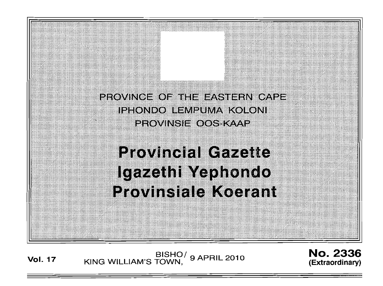PROVINCE OF THE EASTERN CAPE. IPHONDO LEMPUMA KOLONI **PROVINSIE OOS KAAP** 

# **Provincial Gazette** lgazethi Yephondo **Provinsiale Koerant**

BISHO/ 9 APRIL 2010<br>KING WILLIAM'S TOWN, 9 APRIL 2010 **Vol. 17** 

**No. 2336** (Extraordinary)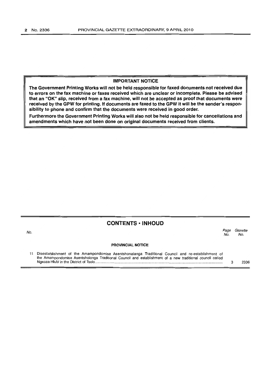#### **IMPORTANT NOTICE**

**-rhe Government Printing Works will not be held responsible for faxed documents not received due to errors on the fax machine or faxes received which are unclear or incomplete. Please be advised that an "OK" slip, received from a fax machine, will not be accepted as proof that documents were received by the GPW for printing. If documents are faxed to the GPW it will be the sender's responsibility to phone and confirm that the documents were received in good order.** 

**Furthermore the Government Printing Works will also not be held responsible for cancellations and amendments which have not been done on original documents received from clients.** 

## **CONTENTS ·INHOUD**

| No. |                                                                                                                                                                                                                | Page<br>No. | Gazette<br>No. |  |
|-----|----------------------------------------------------------------------------------------------------------------------------------------------------------------------------------------------------------------|-------------|----------------|--|
|     | <b>PROVINCIAL NOTICE</b>                                                                                                                                                                                       |             |                |  |
|     | Disestablishment of the Amampondomise Asentshonalanga Traditional Council and re-establishment of<br>the Amampondomise Asentsholonga Traditional Council and establishment of a new traditional council called |             | 2336           |  |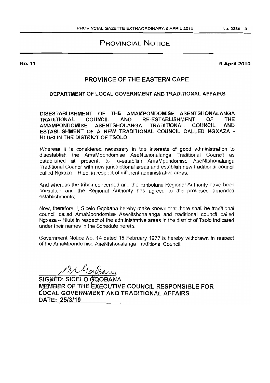## **PROVINCIAL NOTICE**

No. 11

**9 April 2010** 

## **PROVINCE OF THE EASTERN CAPE**

### **DEPARTMENT OF LOCAL GOVERNMENT AND TRADITlONAL AFFAIRS**

**D1SESTABUSHMENT OF THE AMAMPONDOMISE ASENTSHONALANGA TRADITIONAL COUNCIL AND RE-ESTABLISHMENT OF THE AMAMPONDOMISE ASENTSHOLANGA TRADITIONAL COUNCIL AND ESTABLISHMENT OF A NEW TRADITIONAL COUNCIL CALLED NGXAZA** - **HLUBI IN THE DISTRICT OF TSOLO** 

Whereas it is considered necessary in the interests of good administration to disestablish the AmaMpondomise AseNtshonalanga Traditional Council as established at present, to re-establish AmaMpondomise AseNtshonalanga Traditional Council with new jurisdictional areas and establish new traditional council called Ngxaza - Hlubi in respect of different administrative areas.

And whereas the tribes concerned and the Emboland Regional Authority have been consulted and the Regional Authority has agreed to the proposed amended establishments;

Now, therefore, I, Sicelo Gqobana hereby make known that there shall be traditional council called AmaMpondomise AseNtshonalanga and traditional council called Ngxaza - Hlubi in respect of the administrative areas in the district of Tsolo indicated under their names in the Schedule hereto.

Government Notice No. 14 dated 18 February 1977 is hereby withdrawn in respect of the AmaMpondomise AseNtshonalanga Traditional Council.

W Gaz Barra

SIGNÉD: SICELO **@QOBANA** ~~~ER **OF THE EXECUTIVE COUNCiL RESPONSIBLE FOR LOCAL GOVERNMENT AND TRADITIONAL AFFAIRS DATE: 25/3/10**